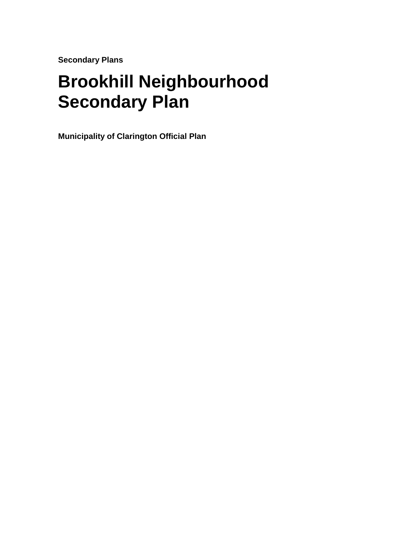**Secondary Plans** 

# **Brookhill Neighbourhood Secondary Plan**

**Municipality of Clarington Official Plan**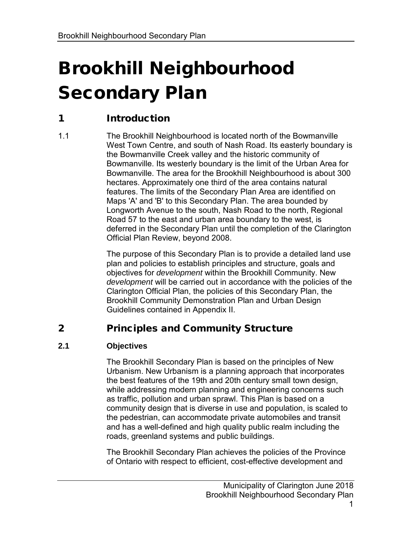# Brookhill Neighbourhood Secondary Plan

# 1 Introduction

 1.1 The Brookhill Neighbourhood is located north of the Bowmanville West Town Centre, and south of Nash Road. Its easterly boundary is the Bowmanville Creek valley and the historic community of Bowmanville. Its westerly boundary is the limit of the Urban Area for Bowmanville. The area for the Brookhill Neighbourhood is about 300 hectares. Approximately one third of the area contains natural features. The limits of the Secondary Plan Area are identified on Maps 'A' and 'B' to this Secondary Plan. The area bounded by Longworth Avenue to the south, Nash Road to the north, Regional Road 57 to the east and urban area boundary to the west, is deferred in the Secondary Plan until the completion of the Clarington Official Plan Review, beyond 2008.

> The purpose of this Secondary Plan is to provide a detailed land use plan and policies to establish principles and structure, goals and objectives for *development* within the Brookhill Community. New *development* will be carried out in accordance with the policies of the Clarington Official Plan, the policies of this Secondary Plan, the Brookhill Community Demonstration Plan and Urban Design Guidelines contained in Appendix II.

## 2 Principles and Community Structure

### **2.1 Objectives**

 The Brookhill Secondary Plan is based on the principles of New Urbanism. New Urbanism is a planning approach that incorporates the best features of the 19th and 20th century small town design, while addressing modern planning and engineering concerns such as traffic, pollution and urban sprawl. This Plan is based on a community design that is diverse in use and population, is scaled to the pedestrian, can accommodate private automobiles and transit and has a well-defined and high quality public realm including the roads, greenland systems and public buildings.

 The Brookhill Secondary Plan achieves the policies of the Province of Ontario with respect to efficient, cost-effective development and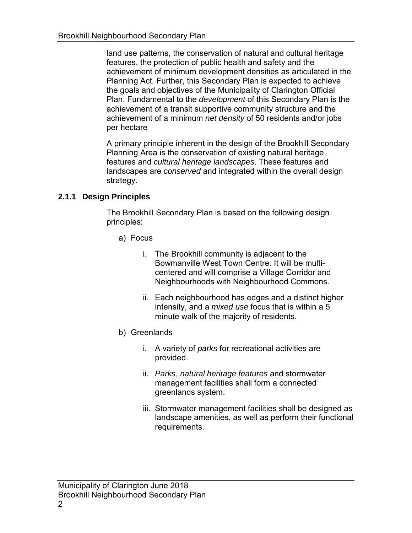land use patterns, the conservation of natural and cultural heritage features, the protection of public health and safety and the achievement of minimum development densities as articulated in the Planning Act. Further, this Secondary Plan is expected to achieve the goals and objectives of the Municipality of Clarington Official Plan. Fundamental to the *development* of this Secondary Plan is the achievement of a transit supportive community structure and the achievement of a minimum *net density* of 50 residents and/or jobs per hectare

 A primary principle inherent in the design of the Brookhill Secondary Planning Area is the conservation of existing natural heritage features and *cultural heritage landscapes*. These features and landscapes are *conserved* and integrated within the overall design strategy.

### **2.1.1 Design Principles**

 The Brookhill Secondary Plan is based on the following design principles:

- a) Focus
	- i. The Brookhill community is adjacent to the Bowmanville West Town Centre. It will be multicentered and will comprise a Village Corridor and Neighbourhoods with Neighbourhood Commons.
	- ii. Each neighbourhood has edges and a distinct higher intensity, and a *mixed use* focus that is within a 5 minute walk of the majority of residents.
- b) Greenlands
	- i. A variety of *parks* for recreational activities are provided.
	- management facilities shall form a connected greenlands system. ii. *Parks*, *natural heritage features* and stormwater
	- iii. Stormwater management facilities shall be designed as landscape amenities, as well as perform their functional requirements.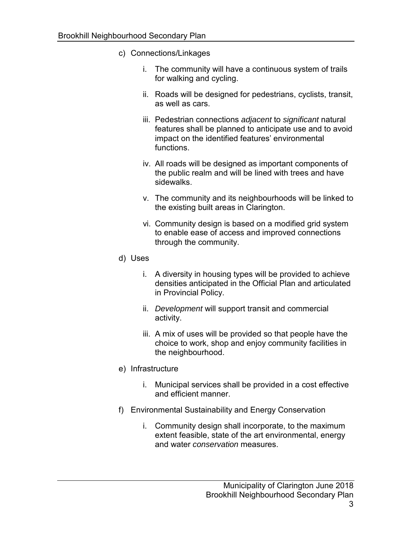- c) Connections/Linkages
	- i. The community will have a continuous system of trails for walking and cycling.
	- ii. Roads will be designed for pedestrians, cyclists, transit, as well as cars.
	- features shall be planned to anticipate use and to avoid impact on the identified features' environmental iii. Pedestrian connections *adjacent* to *significant* natural functions.
	- iv. All roads will be designed as important components of the public realm and will be lined with trees and have sidewalks.
	- v. The community and its neighbourhoods will be linked to the existing built areas in Clarington.
	- vi. Community design is based on a modified grid system to enable ease of access and improved connections through the community.
- d) Uses
	- i. A diversity in housing types will be provided to achieve densities anticipated in the Official Plan and articulated in Provincial Policy.
	- ii. *Development* will support transit and commercial activity.
	- iii. A mix of uses will be provided so that people have the choice to work, shop and enjoy community facilities in the neighbourhood.
- e) Infrastructure
	- i. Municipal services shall be provided in a cost effective and efficient manner.
- f) Environmental Sustainability and Energy Conservation
	- i. Community design shall incorporate, to the maximum extent feasible, state of the art environmental, energy and water *conservation* measures.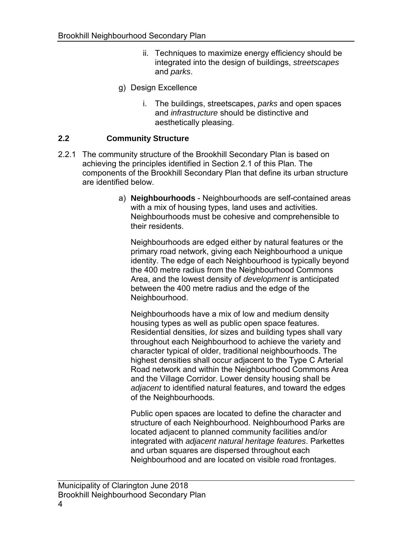- ii. Techniques to maximize energy efficiency should be integrated into the design of buildings, *streetscapes*  and *parks*.
- g) Design Excellence
	- i. The buildings, streetscapes, *parks* and open spaces and *infrastructure* should be distinctive and aesthetically pleasing.

#### **2.2 Community Structure**

- 2.2.1 The community structure of the Brookhill Secondary Plan is based on achieving the principles identified in Section 2.1 of this Plan. The components of the Brookhill Secondary Plan that define its urban structure are identified below.
	- a) **Neighbourhoods**  Neighbourhoods are self-contained areas with a mix of housing types, land uses and activities. Neighbourhoods must be cohesive and comprehensible to their residents.

 Neighbourhoods are edged either by natural features or the primary road network, giving each Neighbourhood a unique identity. The edge of each Neighbourhood is typically beyond the 400 metre radius from the Neighbourhood Commons Area, and the lowest density of *development* is anticipated between the 400 metre radius and the edge of the Neighbourhood.

 Neighbourhoods have a mix of low and medium density housing types as well as public open space features. Residential densities, *lot* sizes and building types shall vary character typical of older, traditional neighbourhoods. The highest densities shall occur adjacent to the Type C Arterial Road network and within the Neighbourhood Commons Area and the Village Corridor. Lower density housing shall be *adjacent* to identified natural features, and toward the edges of the Neighbourhoods. throughout each Neighbourhood to achieve the variety and

 Public open spaces are located to define the character and located adjacent to planned community facilities and/or and urban squares are dispersed throughout each structure of each Neighbourhood. Neighbourhood Parks are integrated with *adjacent natural heritage features*. Parkettes Neighbourhood and are located on visible road frontages.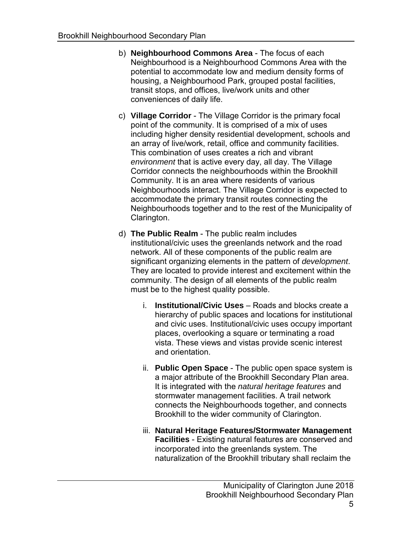- b) **Neighbourhood Commons Area**  The focus of each potential to accommodate low and medium density forms of housing, a Neighbourhood Park, grouped postal facilities, transit stops, and offices, live/work units and other conveniences of daily life. Neighbourhood is a Neighbourhood Commons Area with the
- c) **Village Corridor**  The Village Corridor is the primary focal point of the community. It is comprised of a mix of uses including higher density residential development, schools and an array of live/work, retail, office and community facilities. This combination of uses creates a rich and vibrant *environment* that is active every day, all day. The Village Corridor connects the neighbourhoods within the Brookhill Community. It is an area where residents of various Neighbourhoods interact. The Village Corridor is expected to accommodate the primary transit routes connecting the Neighbourhoods together and to the rest of the Municipality of Clarington.
- d) **The Public Realm**  The public realm includes institutional/civic uses the greenlands network and the road network. All of these components of the public realm are significant organizing elements in the pattern of *development*. community. The design of all elements of the public realm must be to the highest quality possible. They are located to provide interest and excitement within the
	- i. **Institutional/Civic Uses**  Roads and blocks create a hierarchy of public spaces and locations for institutional and civic uses. Institutional/civic uses occupy important places, overlooking a square or terminating a road vista. These views and vistas provide scenic interest and orientation.
	- ii. **Public Open Space**  The public open space system is a major attribute of the Brookhill Secondary Plan area. stormwater management facilities. A trail network connects the Neighbourhoods together, and connects Brookhill to the wider community of Clarington. It is integrated with the *natural heritage features* and
	- **Facilities**  Existing natural features are conserved and incorporated into the greenlands system. The naturalization of the Brookhill tributary shall reclaim the iii. **Natural Heritage Features/Stormwater Management**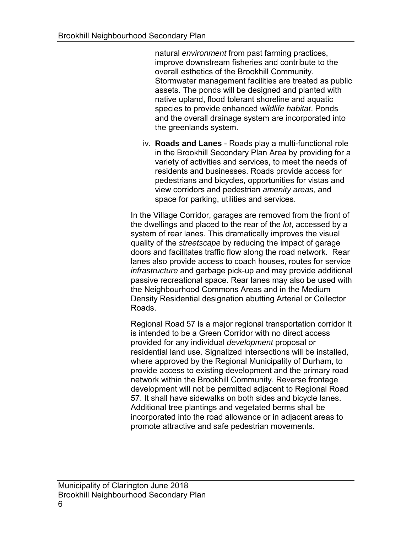natural *environment* from past farming practices, improve downstream fisheries and contribute to the overall esthetics of the Brookhill Community. Stormwater management facilities are treated as public assets. The ponds will be designed and planted with native upland, flood tolerant shoreline and aquatic species to provide enhanced *wildlife habitat*. Ponds and the overall drainage system are incorporated into the greenlands system.

 iv. **Roads and Lanes** - Roads play a multi-functional role in the Brookhill Secondary Plan Area by providing for a variety of activities and services, to meet the needs of residents and businesses. Roads provide access for pedestrians and bicycles, opportunities for vistas and view corridors and pedestrian *amenity areas*, and space for parking, utilities and services.

 In the Village Corridor, garages are removed from the front of the dwellings and placed to the rear of the *lot*, accessed by a system of rear lanes. This dramatically improves the visual quality of the *streetscape* by reducing the impact of garage doors and facilitates traffic flow along the road network. Rear lanes also provide access to coach houses, routes for service *infrastructure* and garbage pick-up and may provide additional passive recreational space. Rear lanes may also be used with the Neighbourhood Commons Areas and in the Medium Density Residential designation abutting Arterial or Collector Roads.

 Regional Road 57 is a major regional transportation corridor It is intended to be a Green Corridor with no direct access provided for any individual *development* proposal or residential land use. Signalized intersections will be installed, where approved by the Regional Municipality of Durham, to provide access to existing development and the primary road development will not be permitted adjacent to Regional Road 57. It shall have sidewalks on both sides and bicycle lanes. Additional tree plantings and vegetated berms shall be incorporated into the road allowance or in adjacent areas to network within the Brookhill Community. Reverse frontage promote attractive and safe pedestrian movements.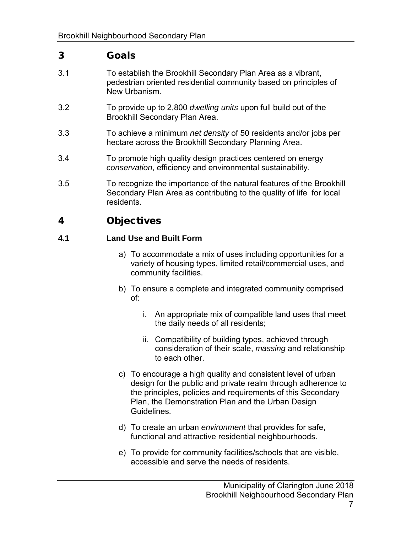### 3 Goals

- 3.1 To establish the Brookhill Secondary Plan Area as a vibrant, pedestrian oriented residential community based on principles of New Urbanism.
- 3.2 To provide up to 2,800 *dwelling units* upon full build out of the Brookhill Secondary Plan Area.
- 3.3 To achieve a minimum *net density* of 50 residents and/or jobs per hectare across the Brookhill Secondary Planning Area.
- *conservation*, efficiency and environmental sustainability. 3.4 To promote high quality design practices centered on energy
- 3.5 To recognize the importance of the natural features of the Brookhill Secondary Plan Area as contributing to the quality of life for local residents.

### 4 Objectives

#### **4.1 Land Use and Built Form**

- a) To accommodate a mix of uses including opportunities for a variety of housing types, limited retail/commercial uses, and community facilities.
- b) To ensure a complete and integrated community comprised of:
	- i. An appropriate mix of compatible land uses that meet the daily needs of all residents;
	- ii. Compatibility of building types, achieved through consideration of their scale, *massing* and relationship to each other.
- c) To encourage a high quality and consistent level of urban design for the public and private realm through adherence to the principles, policies and requirements of this Secondary Guidelines. Plan, the Demonstration Plan and the Urban Design
- d) To create an urban *environment* that provides for safe, functional and attractive residential neighbourhoods.
- e) To provide for community facilities/schools that are visible, accessible and serve the needs of residents.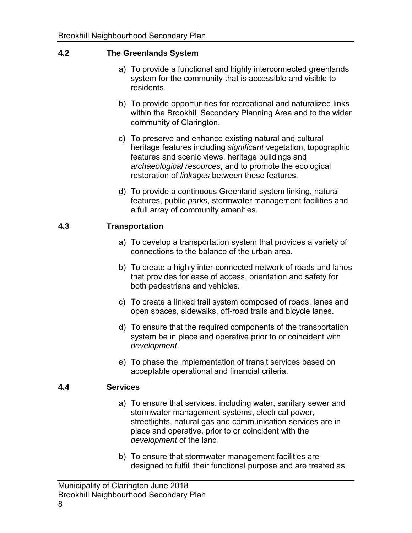#### **4.2 The Greenlands System**

- a) To provide a functional and highly interconnected greenlands system for the community that is accessible and visible to residents.
- b) To provide opportunities for recreational and naturalized links within the Brookhill Secondary Planning Area and to the wider community of Clarington.
- c) To preserve and enhance existing natural and cultural heritage features including *significant* vegetation, topographic features and scenic views, heritage buildings and *archaeological resources*, and to promote the ecological restoration of *linkages* between these features.
- d) To provide a continuous Greenland system linking, natural features, public *parks*, stormwater management facilities and a full array of community amenities.

#### **4.3 Transportation**

- a) To develop a transportation system that provides a variety of connections to the balance of the urban area.
- b) To create a highly inter-connected network of roads and lanes that provides for ease of access, orientation and safety for both pedestrians and vehicles.
- c) To create a linked trail system composed of roads, lanes and open spaces, sidewalks, off-road trails and bicycle lanes.
- d) To ensure that the required components of the transportation system be in place and operative prior to or coincident with *development*.
- e) To phase the implementation of transit services based on acceptable operational and financial criteria.

#### **4.4 Services**

- a) To ensure that services, including water, sanitary sewer and stormwater management systems, electrical power, streetlights, natural gas and communication services are in place and operative, prior to or coincident with the *development* of the land.
- b) To ensure that stormwater management facilities are designed to fulfill their functional purpose and are treated as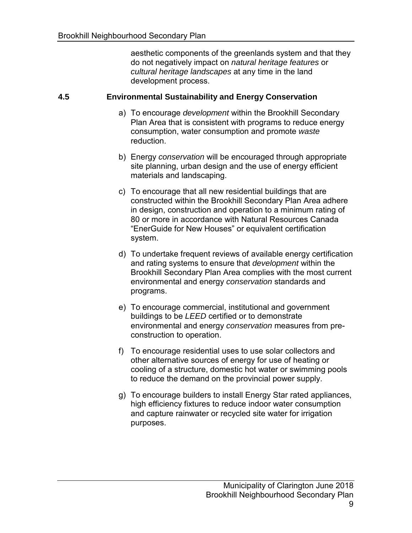aesthetic components of the greenlands system and that they do not negatively impact on *natural heritage features* or *cultural heritage landscapes* at any time in the land development process.

#### **4.5 Environmental Sustainability and Energy Conservation**

- a) To encourage *development* within the Brookhill Secondary Plan Area that is consistent with programs to reduce energy consumption, water consumption and promote *waste*  reduction.
- site planning, urban design and the use of energy efficient b) Energy *conservation* will be encouraged through appropriate materials and landscaping.
- c) To encourage that all new residential buildings that are constructed within the Brookhill Secondary Plan Area adhere in design, construction and operation to a minimum rating of 80 or more in accordance with Natural Resources Canada "EnerGuide for New Houses" or equivalent certification system.
- d) To undertake frequent reviews of available energy certification and rating systems to ensure that *development* within the Brookhill Secondary Plan Area complies with the most current environmental and energy *conservation* standards and programs.
- e) To encourage commercial, institutional and government environmental and energy *conservation* measures from prebuildings to be *LEED* certified or to demonstrate construction to operation.
- f) To encourage residential uses to use solar collectors and other alternative sources of energy for use of heating or cooling of a structure, domestic hot water or swimming pools to reduce the demand on the provincial power supply.
- g) To encourage builders to install Energy Star rated appliances, high efficiency fixtures to reduce indoor water consumption and capture rainwater or recycled site water for irrigation purposes.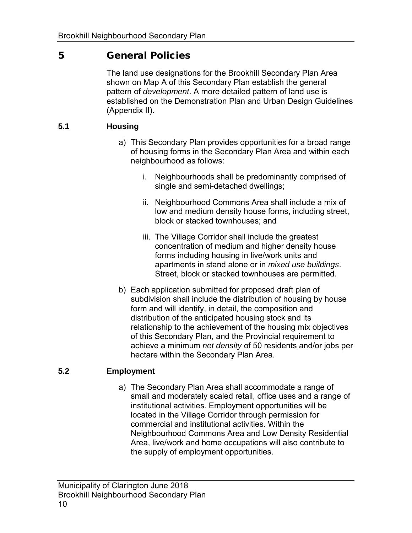### 5 General Policies

 The land use designations for the Brookhill Secondary Plan Area shown on Map A of this Secondary Plan establish the general pattern of *development*. A more detailed pattern of land use is established on the Demonstration Plan and Urban Design Guidelines (Appendix II).

#### **5.1 Housing**

- a) This Secondary Plan provides opportunities for a broad range of housing forms in the Secondary Plan Area and within each neighbourhood as follows:
	- i. Neighbourhoods shall be predominantly comprised of single and semi-detached dwellings;
	- ii. Neighbourhood Commons Area shall include a mix of low and medium density house forms, including street, block or stacked townhouses; and
	- iii. The Village Corridor shall include the greatest concentration of medium and higher density house forms including housing in live/work units and Street, block or stacked townhouses are permitted. apartments in stand alone or in *mixed use buildings*.
- b) Each application submitted for proposed draft plan of subdivision shall include the distribution of housing by house form and will identify, in detail, the composition and distribution of the anticipated housing stock and its relationship to the achievement of the housing mix objectives of this Secondary Plan, and the Provincial requirement to achieve a minimum *net density* of 50 residents and/or jobs per hectare within the Secondary Plan Area.

#### **5.2 Employment**

 small and moderately scaled retail, office uses and a range of institutional activities. Employment opportunities will be commercial and institutional activities. Within the Neighbourhood Commons Area and Low Density Residential Area, live/work and home occupations will also contribute to the supply of employment opportunities. a) The Secondary Plan Area shall accommodate a range of located in the Village Corridor through permission for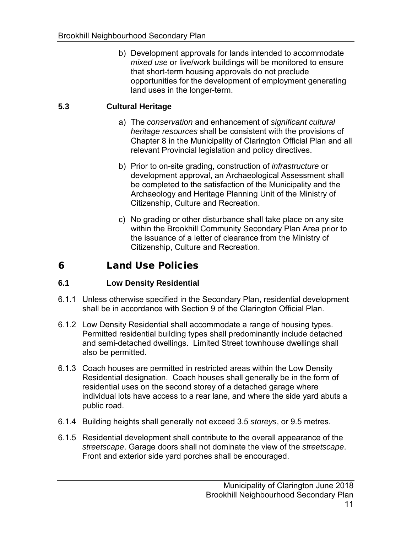b) Development approvals for lands intended to accommodate *mixed use* or live/work buildings will be monitored to ensure that short-term housing approvals do not preclude opportunities for the development of employment generating land uses in the longer-term.

#### **5.3 Cultural Heritage**

- a) The *conservation* and enhancement of *significant cultural heritage resources* shall be consistent with the provisions of Chapter 8 in the Municipality of Clarington Official Plan and all relevant Provincial legislation and policy directives.
- development approval, an Archaeological Assessment shall be completed to the satisfaction of the Municipality and the Archaeology and Heritage Planning Unit of the Ministry of b) Prior to on-site grading, construction of *infrastructure* or Citizenship, Culture and Recreation.
- c) No grading or other disturbance shall take place on any site within the Brookhill Community Secondary Plan Area prior to the issuance of a letter of clearance from the Ministry of Citizenship, Culture and Recreation.

### 6 Land Use Policies

#### **6.1 Low Density Residential**

- 6.1.1 Unless otherwise specified in the Secondary Plan, residential development shall be in accordance with Section 9 of the Clarington Official Plan.
- 6.1.2 Low Density Residential shall accommodate a range of housing types. Permitted residential building types shall predominantly include detached and semi-detached dwellings. Limited Street townhouse dwellings shall also be permitted.
- 6.1.3 Coach houses are permitted in restricted areas within the Low Density Residential designation. Coach houses shall generally be in the form of residential uses on the second storey of a detached garage where individual lots have access to a rear lane, and where the side yard abuts a public road.
- 6.1.4 Building heights shall generally not exceed 3.5 *storeys*, or 9.5 metres.
- 6.1.5 Residential development shall contribute to the overall appearance of the *streetscape*. Garage doors shall not dominate the view of the *streetscape*. Front and exterior side yard porches shall be encouraged.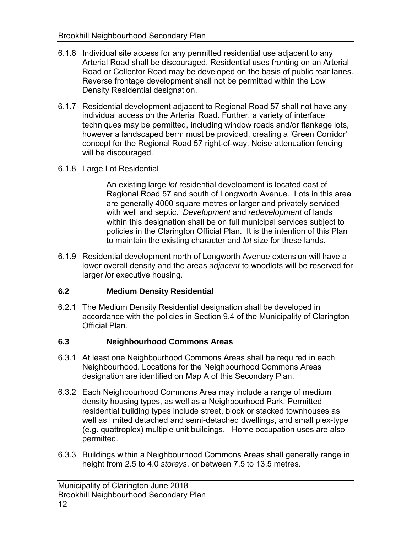- 6.1.6 Individual site access for any permitted residential use adjacent to any Arterial Road shall be discouraged. Residential uses fronting on an Arterial Road or Collector Road may be developed on the basis of public rear lanes. Reverse frontage development shall not be permitted within the Low Density Residential designation.
- 6.1.7 Residential development adjacent to Regional Road 57 shall not have any individual access on the Arterial Road. Further, a variety of interface techniques may be permitted, including window roads and/or flankage lots, however a landscaped berm must be provided, creating a 'Green Corridor' concept for the Regional Road 57 right-of-way. Noise attenuation fencing will be discouraged.
- 6.1.8 Large Lot Residential

 An existing large *lot* residential development is located east of Regional Road 57 and south of Longworth Avenue. Lots in this area are generally 4000 square metres or larger and privately serviced with well and septic. *Development* and *redevelopment* of lands within this designation shall be on full municipal services subject to policies in the Clarington Official Plan. It is the intention of this Plan to maintain the existing character and *lot* size for these lands.

 6.1.9 Residential development north of Longworth Avenue extension will have a lower overall density and the areas *adjacent* to woodlots will be reserved for larger *lot* executive housing.

#### **6.2 Medium Density Residential**

 6.2.1 The Medium Density Residential designation shall be developed in accordance with the policies in Section 9.4 of the Municipality of Clarington Official Plan.

#### **6.3 Neighbourhood Commons Areas**

- 6.3.1 At least one Neighbourhood Commons Areas shall be required in each Neighbourhood. Locations for the Neighbourhood Commons Areas designation are identified on Map A of this Secondary Plan.
- 6.3.2 Each Neighbourhood Commons Area may include a range of medium density housing types, as well as a Neighbourhood Park. Permitted residential building types include street, block or stacked townhouses as well as limited detached and semi-detached dwellings, and small plex-type (e.g. quattroplex) multiple unit buildings. Home occupation uses are also permitted.
- 6.3.3 Buildings within a Neighbourhood Commons Areas shall generally range in height from 2.5 to 4.0 *storeys*, or between 7.5 to 13.5 metres.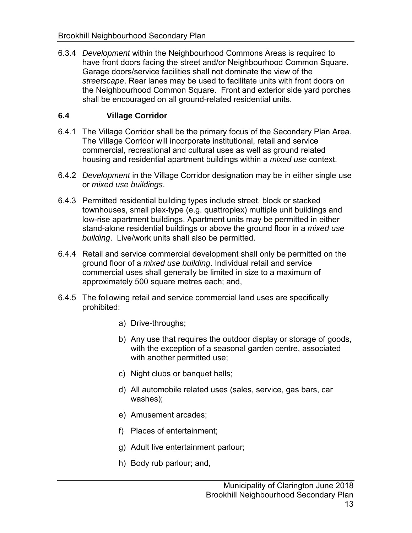6.3.4 *Development* within the Neighbourhood Commons Areas is required to have front doors facing the street and/or Neighbourhood Common Square. Garage doors/service facilities shall not dominate the view of the *streetscape*. Rear lanes may be used to facilitate units with front doors on the Neighbourhood Common Square. Front and exterior side yard porches shall be encouraged on all ground-related residential units.

#### **6.4 Village Corridor**

- 6.4.1 The Village Corridor shall be the primary focus of the Secondary Plan Area. The Village Corridor will incorporate institutional, retail and service commercial, recreational and cultural uses as well as ground related housing and residential apartment buildings within a *mixed use* context.
- 6.4.2 *Development* in the Village Corridor designation may be in either single use or *mixed use buildings*.
- 6.4.3 Permitted residential building types include street, block or stacked townhouses, small plex-type (e.g. quattroplex) multiple unit buildings and low-rise apartment buildings. Apartment units may be permitted in either stand-alone residential buildings or above the ground floor in a *mixed use building*. Live/work units shall also be permitted.
- 6.4.4 Retail and service commercial development shall only be permitted on the ground floor of a *mixed use building*. Individual retail and service commercial uses shall generally be limited in size to a maximum of approximately 500 square metres each; and,
- 6.4.5 The following retail and service commercial land uses are specifically prohibited:
	- a) Drive-throughs;
	- b) Any use that requires the outdoor display or storage of goods, with the exception of a seasonal garden centre, associated with another permitted use;
	- c) Night clubs or banquet halls;
	- d) All automobile related uses (sales, service, gas bars, car washes);
	- e) Amusement arcades;
	- f) Places of entertainment;
	- g) Adult live entertainment parlour;
	- h) Body rub parlour; and,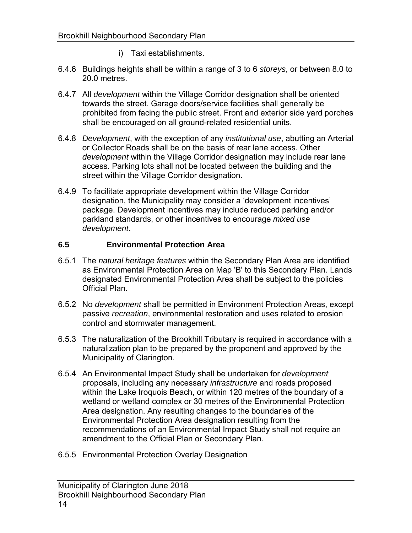- i) Taxi establishments.
- 6.4.6 Buildings heights shall be within a range of 3 to 6 *storeys*, or between 8.0 to 20.0 metres.
- towards the street. Garage doors/service facilities shall generally be prohibited from facing the public street. Front and exterior side yard porches shall be encouraged on all ground-related residential units. 6.4.7 All *development* within the Village Corridor designation shall be oriented
- 6.4.8 *Development*, with the exception of any *institutional use*, abutting an Arterial or Collector Roads shall be on the basis of rear lane access. Other access. Parking lots shall not be located between the building and the *development* within the Village Corridor designation may include rear lane street within the Village Corridor designation.
- designation, the Municipality may consider a 'development incentives' package. Development incentives may include reduced parking and/or parkland standards, or other incentives to encourage *mixed use*  6.4.9 To facilitate appropriate development within the Village Corridor *development*.

#### **6.5 Environmental Protection Area**

- as Environmental Protection Area on Map 'B' to this Secondary Plan. Lands designated Environmental Protection Area shall be subject to the policies 6.5.1 The *natural heritage features* within the Secondary Plan Area are identified Official Plan.
- 6.5.2 No *development* shall be permitted in Environment Protection Areas, except passive *recreation*, environmental restoration and uses related to erosion control and stormwater management.
- 6.5.3 The naturalization of the Brookhill Tributary is required in accordance with a Municipality of Clarington. naturalization plan to be prepared by the proponent and approved by the
- 6.5.4 An Environmental Impact Study shall be undertaken for *development*  proposals, including any necessary *infrastructure* and roads proposed within the Lake Iroquois Beach, or within 120 metres of the boundary of a wetland or wetland complex or 30 metres of the Environmental Protection Area designation. Any resulting changes to the boundaries of the Environmental Protection Area designation resulting from the recommendations of an Environmental Impact Study shall not require an amendment to the Official Plan or Secondary Plan.
- 6.5.5 Environmental Protection Overlay Designation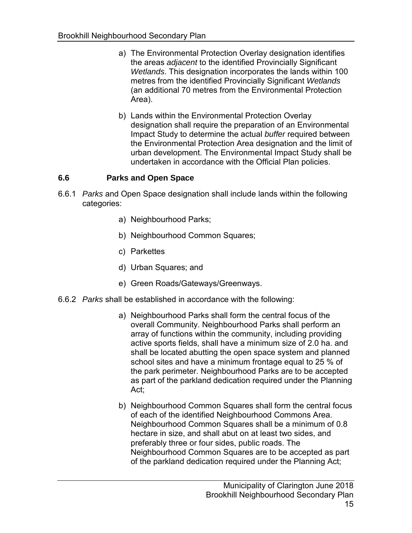- a) The Environmental Protection Overlay designation identifies the areas *adjacent* to the identified Provincially Significant *Wetlands*. This designation incorporates the lands within 100 metres from the identified Provincially Significant *Wetlands*  (an additional 70 metres from the Environmental Protection Area).
- designation shall require the preparation of an Environmental Impact Study to determine the actual *buffer* required between the Environmental Protection Area designation and the limit of urban development. The Environmental Impact Study shall be b) Lands within the Environmental Protection Overlay undertaken in accordance with the Official Plan policies.

#### **6.6 Parks and Open Space**

- 6.6.1 *Parks* and Open Space designation shall include lands within the following categories:
	- a) Neighbourhood Parks;
	- b) Neighbourhood Common Squares;
	- c) Parkettes
	- d) Urban Squares; and
	- e) Green Roads/Gateways/Greenways.
- 6.6.2 *Parks* shall be established in accordance with the following:
	- a) Neighbourhood Parks shall form the central focus of the overall Community. Neighbourhood Parks shall perform an array of functions within the community, including providing active sports fields, shall have a minimum size of 2.0 ha. and shall be located abutting the open space system and planned school sites and have a minimum frontage equal to 25 % of the park perimeter. Neighbourhood Parks are to be accepted as part of the parkland dedication required under the Planning Act;
	- b) Neighbourhood Common Squares shall form the central focus of each of the identified Neighbourhood Commons Area. Neighbourhood Common Squares shall be a minimum of 0.8 hectare in size, and shall abut on at least two sides, and preferably three or four sides, public roads. The Neighbourhood Common Squares are to be accepted as part of the parkland dedication required under the Planning Act;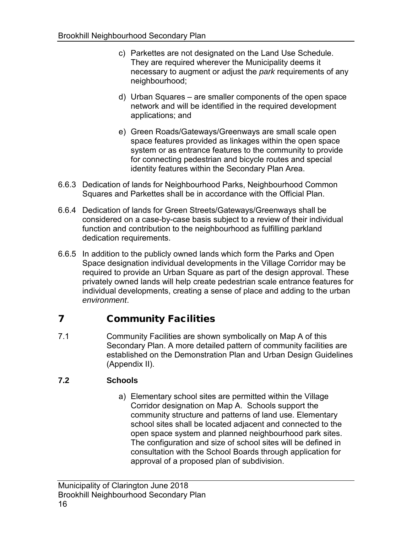- c) Parkettes are not designated on the Land Use Schedule. They are required wherever the Municipality deems it necessary to augment or adjust the *park* requirements of any neighbourhood;
- d) Urban Squares are smaller components of the open space network and will be identified in the required development applications; and
- e) Green Roads/Gateways/Greenways are small scale open space features provided as linkages within the open space system or as entrance features to the community to provide for connecting pedestrian and bicycle routes and special identity features within the Secondary Plan Area.
- 6.6.3 Dedication of lands for Neighbourhood Parks, Neighbourhood Common Squares and Parkettes shall be in accordance with the Official Plan.
- 6.6.4 Dedication of lands for Green Streets/Gateways/Greenways shall be considered on a case-by-case basis subject to a review of their individual function and contribution to the neighbourhood as fulfilling parkland dedication requirements.
- 6.6.5 In addition to the publicly owned lands which form the Parks and Open Space designation individual developments in the Village Corridor may be required to provide an Urban Square as part of the design approval. These privately owned lands will help create pedestrian scale entrance features for individual developments, creating a sense of place and adding to the urban *environment*.

## 7 Community Facilities

 7.1 Community Facilities are shown symbolically on Map A of this Secondary Plan. A more detailed pattern of community facilities are established on the Demonstration Plan and Urban Design Guidelines (Appendix II).

#### **7.2 Schools**

 a) Elementary school sites are permitted within the Village Corridor designation on Map A. Schools support the community structure and patterns of land use. Elementary school sites shall be located adjacent and connected to the open space system and planned neighbourhood park sites. The configuration and size of school sites will be defined in consultation with the School Boards through application for approval of a proposed plan of subdivision.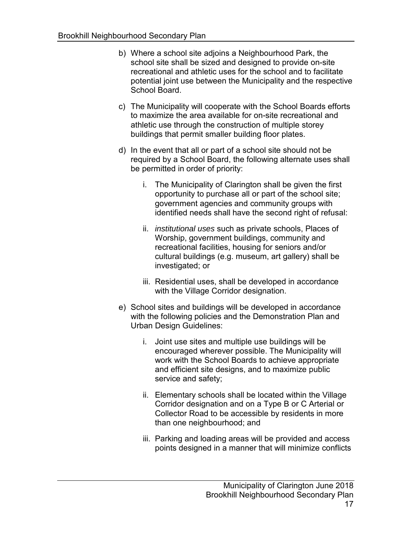- b) Where a school site adjoins a Neighbourhood Park, the school site shall be sized and designed to provide on-site recreational and athletic uses for the school and to facilitate potential joint use between the Municipality and the respective School Board.
- c) The Municipality will cooperate with the School Boards efforts to maximize the area available for on-site recreational and athletic use through the construction of multiple storey buildings that permit smaller building floor plates.
- d) In the event that all or part of a school site should not be required by a School Board, the following alternate uses shall be permitted in order of priority:
	- i. The Municipality of Clarington shall be given the first opportunity to purchase all or part of the school site; government agencies and community groups with identified needs shall have the second right of refusal:
	- ii. *institutional uses* such as private schools, Places of Worship, government buildings, community and recreational facilities, housing for seniors and/or cultural buildings (e.g. museum, art gallery) shall be investigated; or
	- iii. Residential uses, shall be developed in accordance with the Village Corridor designation.
- e) School sites and buildings will be developed in accordance with the following policies and the Demonstration Plan and Urban Design Guidelines:
	- i. Joint use sites and multiple use buildings will be encouraged wherever possible. The Municipality will work with the School Boards to achieve appropriate and efficient site designs, and to maximize public service and safety;
	- ii. Elementary schools shall be located within the Village Corridor designation and on a Type B or C Arterial or Collector Road to be accessible by residents in more than one neighbourhood; and
	- iii. Parking and loading areas will be provided and access points designed in a manner that will minimize conflicts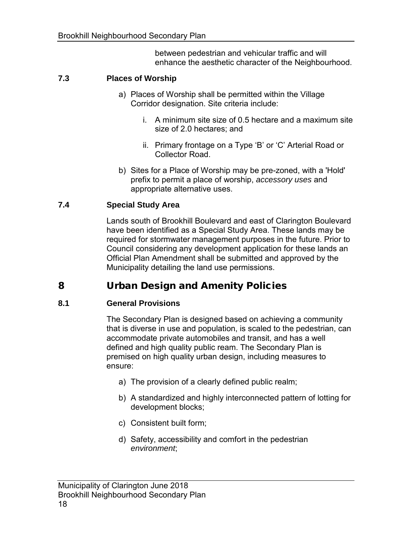between pedestrian and vehicular traffic and will enhance the aesthetic character of the Neighbourhood.

#### **7.3 Places of Worship**

- a) Places of Worship shall be permitted within the Village Corridor designation. Site criteria include:
	- i. A minimum site size of 0.5 hectare and a maximum site size of 2.0 hectares; and
	- ii. Primary frontage on a Type 'B' or 'C' Arterial Road or Collector Road.
- b) Sites for a Place of Worship may be pre-zoned, with a 'Hold' prefix to permit a place of worship, *accessory uses* and appropriate alternative uses.

#### **7.4 Special Study Area**

 Lands south of Brookhill Boulevard and east of Clarington Boulevard have been identified as a Special Study Area. These lands may be required for stormwater management purposes in the future. Prior to Council considering any development application for these lands an Official Plan Amendment shall be submitted and approved by the Municipality detailing the land use permissions.

### 8 Urban Design and Amenity Policies

#### **8.1 General Provisions**

 The Secondary Plan is designed based on achieving a community that is diverse in use and population, is scaled to the pedestrian, can accommodate private automobiles and transit, and has a well defined and high quality public ream. The Secondary Plan is premised on high quality urban design, including measures to ensure:

- a) The provision of a clearly defined public realm;
- b) A standardized and highly interconnected pattern of lotting for development blocks;
- c) Consistent built form;
- d) Safety, accessibility and comfort in the pedestrian *environment*;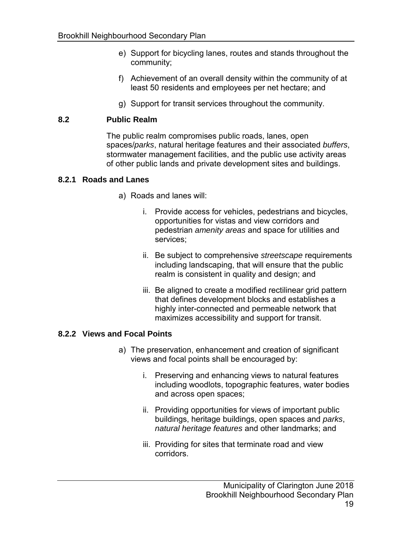- e) Support for bicycling lanes, routes and stands throughout the community;
- f) Achievement of an overall density within the community of at least 50 residents and employees per net hectare; and
- g) Support for transit services throughout the community.

#### **8.2 Public Realm**

 The public realm compromises public roads, lanes, open spaces/*parks*, natural heritage features and their associated *buffers*, stormwater management facilities, and the public use activity areas of other public lands and private development sites and buildings.

#### **8.2.1 Roads and Lanes**

- a) Roads and lanes will:
	- i. Provide access for vehicles, pedestrians and bicycles, opportunities for vistas and view corridors and pedestrian *amenity areas* and space for utilities and services;
	- including landscaping, that will ensure that the public realm is consistent in quality and design; and ii. Be subject to comprehensive *streetscape* requirements
	- iii. Be aligned to create a modified rectilinear grid pattern that defines development blocks and establishes a highly inter-connected and permeable network that maximizes accessibility and support for transit.

#### **8.2.2 Views and Focal Points**

- a) The preservation, enhancement and creation of significant views and focal points shall be encouraged by:
	- i. Preserving and enhancing views to natural features including woodlots, topographic features, water bodies and across open spaces;
	- ii. Providing opportunities for views of important public *natural heritage features* and other landmarks; and buildings, heritage buildings, open spaces and *parks*,
	- iii. Providing for sites that terminate road and view corridors.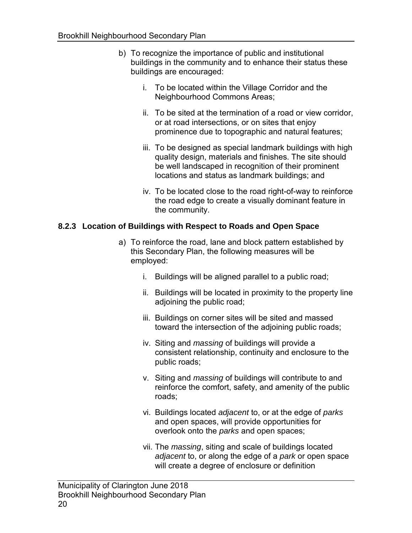- b) To recognize the importance of public and institutional buildings in the community and to enhance their status these buildings are encouraged:
	- i. To be located within the Village Corridor and the Neighbourhood Commons Areas;
	- ii. To be sited at the termination of a road or view corridor, or at road intersections, or on sites that enjoy prominence due to topographic and natural features;
	- iii. To be designed as special landmark buildings with high quality design, materials and finishes. The site should be well landscaped in recognition of their prominent locations and status as landmark buildings; and
	- the road edge to create a visually dominant feature in iv. To be located close to the road right-of-way to reinforce the community.

#### **8.2.3 Location of Buildings with Respect to Roads and Open Space**

- a) To reinforce the road, lane and block pattern established by this Secondary Plan, the following measures will be employed:
	- i. Buildings will be aligned parallel to a public road;
	- ii. Buildings will be located in proximity to the property line adjoining the public road;
	- iii. Buildings on corner sites will be sited and massed toward the intersection of the adjoining public roads;
	- iv. Siting and *massing* of buildings will provide a consistent relationship, continuity and enclosure to the public roads;
	- v. Siting and *massing* of buildings will contribute to and reinforce the comfort, safety, and amenity of the public roads;
	- vi. Buildings located *adjacent* to, or at the edge of *parks*  and open spaces, will provide opportunities for overlook onto the *parks* and open spaces;
	- vii. The *massing*, siting and scale of buildings located *adjacent* to, or along the edge of a *park* or open space will create a degree of enclosure or definition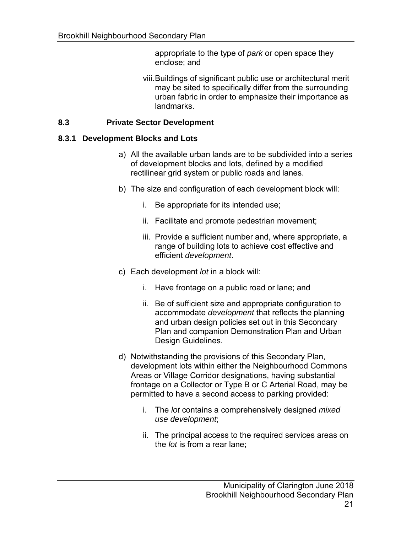appropriate to the type of *park* or open space they enclose; and

 viii.Buildings of significant public use or architectural merit may be sited to specifically differ from the surrounding urban fabric in order to emphasize their importance as landmarks.

#### **8.3 Private Sector Development**

#### **8.3.1 Development Blocks and Lots**

- a) All the available urban lands are to be subdivided into a series of development blocks and lots, defined by a modified rectilinear grid system or public roads and lanes.
- b) The size and configuration of each development block will:
	- i. Be appropriate for its intended use;
	- ii. Facilitate and promote pedestrian movement;
	- iii. Provide a sufficient number and, where appropriate, a range of building lots to achieve cost effective and efficient *development*.
- c) Each development *lot* in a block will:
	- i. Have frontage on a public road or lane; and
	- ii. Be of sufficient size and appropriate configuration to accommodate *development* that reflects the planning and urban design policies set out in this Secondary Plan and companion Demonstration Plan and Urban Design Guidelines.
- d) Notwithstanding the provisions of this Secondary Plan, development lots within either the Neighbourhood Commons Areas or Village Corridor designations, having substantial frontage on a Collector or Type B or C Arterial Road, may be permitted to have a second access to parking provided:
	- i. The *lot* contains a comprehensively designed *mixed use development*;
	- ii. The principal access to the required services areas on the *lot* is from a rear lane;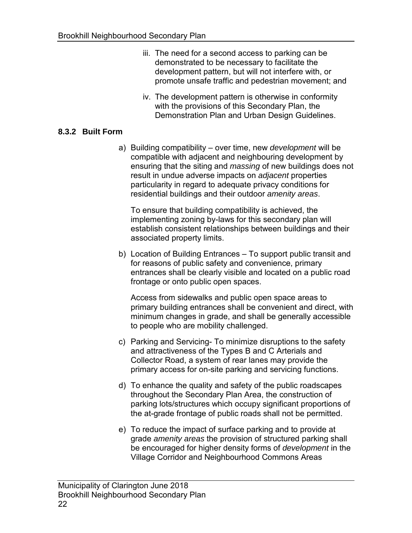- iii. The need for a second access to parking can be demonstrated to be necessary to facilitate the development pattern, but will not interfere with, or promote unsafe traffic and pedestrian movement; and
- iv. The development pattern is otherwise in conformity with the provisions of this Secondary Plan, the Demonstration Plan and Urban Design Guidelines.

#### **8.3.2 Built Form**

 a) Building compatibility – over time, new *development* will be compatible with adjacent and neighbouring development by ensuring that the siting and *massing* of new buildings does not particularity in regard to adequate privacy conditions for residential buildings and their outdoor *amenity areas*. result in undue adverse impacts on *adjacent* properties

 To ensure that building compatibility is achieved, the implementing zoning by-laws for this secondary plan will establish consistent relationships between buildings and their associated property limits.

 b) Location of Building Entrances – To support public transit and for reasons of public safety and convenience, primary entrances shall be clearly visible and located on a public road frontage or onto public open spaces.

 Access from sidewalks and public open space areas to primary building entrances shall be convenient and direct, with minimum changes in grade, and shall be generally accessible to people who are mobility challenged.

- c) Parking and Servicing- To minimize disruptions to the safety and attractiveness of the Types B and C Arterials and Collector Road, a system of rear lanes may provide the primary access for on-site parking and servicing functions.
- d) To enhance the quality and safety of the public roadscapes throughout the Secondary Plan Area, the construction of parking lots/structures which occupy significant proportions of the at-grade frontage of public roads shall not be permitted.
- e) To reduce the impact of surface parking and to provide at grade *amenity areas* the provision of structured parking shall be encouraged for higher density forms of *development* in the Village Corridor and Neighbourhood Commons Areas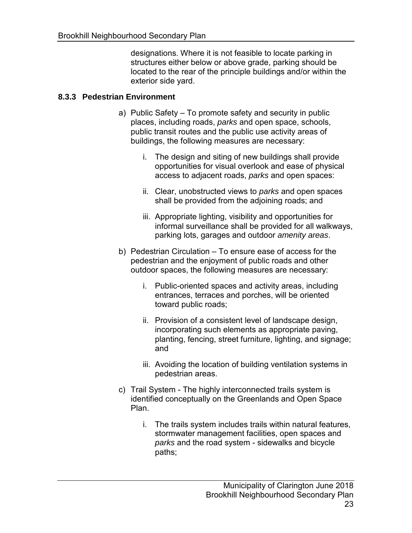designations. Where it is not feasible to locate parking in structures either below or above grade, parking should be located to the rear of the principle buildings and/or within the exterior side yard.

#### **8.3.3 Pedestrian Environment**

- a) Public Safety To promote safety and security in public places, including roads, *parks* and open space, schools, public transit routes and the public use activity areas of buildings, the following measures are necessary:
	- i. The design and siting of new buildings shall provide opportunities for visual overlook and ease of physical access to adjacent roads, *parks* and open spaces:
	- ii. Clear, unobstructed views to *parks* and open spaces shall be provided from the adjoining roads; and
	- iii. Appropriate lighting, visibility and opportunities for informal surveillance shall be provided for all walkways, parking lots, garages and outdoor *amenity areas*.
- b) Pedestrian Circulation To ensure ease of access for the pedestrian and the enjoyment of public roads and other outdoor spaces, the following measures are necessary:
	- i. Public-oriented spaces and activity areas, including entrances, terraces and porches, will be oriented toward public roads;
	- ii. Provision of a consistent level of landscape design, incorporating such elements as appropriate paving, planting, fencing, street furniture, lighting, and signage; and
	- iii. Avoiding the location of building ventilation systems in pedestrian areas.
- identified conceptually on the Greenlands and Open Space c) Trail System - The highly interconnected trails system is Plan.
	- i. The trails system includes trails within natural features, stormwater management facilities, open spaces and *parks* and the road system - sidewalks and bicycle paths;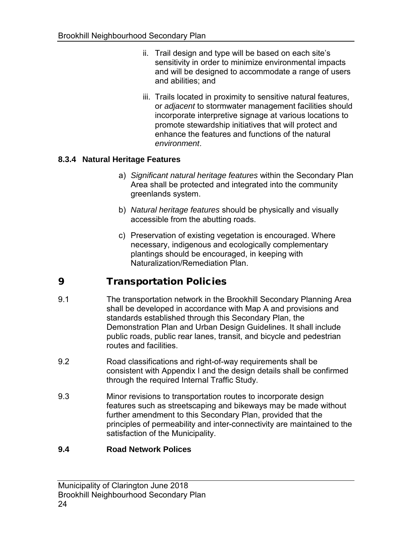- ii. Trail design and type will be based on each site's sensitivity in order to minimize environmental impacts and will be designed to accommodate a range of users and abilities; and
- iii. Trails located in proximity to sensitive natural features, or *adjacent* to stormwater management facilities should incorporate interpretive signage at various locations to promote stewardship initiatives that will protect and enhance the features and functions of the natural *environment*.

#### **8.3.4 Natural Heritage Features**

- a) *Significant natural heritage features* within the Secondary Plan Area shall be protected and integrated into the community greenlands system.
- accessible from the abutting roads. b) *Natural heritage features* should be physically and visually
- c) Preservation of existing vegetation is encouraged. Where necessary, indigenous and ecologically complementary plantings should be encouraged, in keeping with Naturalization/Remediation Plan.

## 9 Transportation Policies

- 9.1 The transportation network in the Brookhill Secondary Planning Area shall be developed in accordance with Map A and provisions and standards established through this Secondary Plan, the Demonstration Plan and Urban Design Guidelines. It shall include public roads, public rear lanes, transit, and bicycle and pedestrian routes and facilities.
- 9.2 Road classifications and right-of-way requirements shall be consistent with Appendix I and the design details shall be confirmed through the required Internal Traffic Study.
- 9.3 Minor revisions to transportation routes to incorporate design features such as streetscaping and bikeways may be made without further amendment to this Secondary Plan, provided that the principles of permeability and inter-connectivity are maintained to the satisfaction of the Municipality.

#### **9.4 Road Network Polices**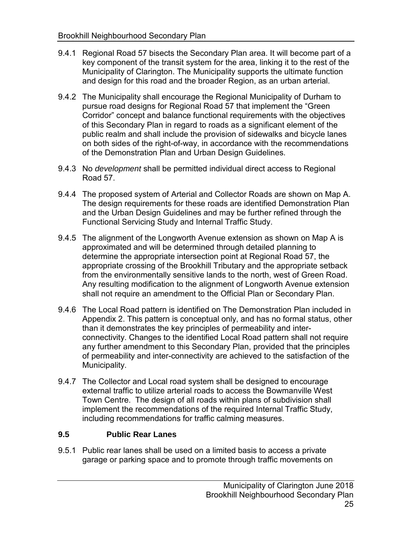- 9.4.1 Regional Road 57 bisects the Secondary Plan area. It will become part of a key component of the transit system for the area, linking it to the rest of the Municipality of Clarington. The Municipality supports the ultimate function and design for this road and the broader Region, as an urban arterial.
- 9.4.2 The Municipality shall encourage the Regional Municipality of Durham to pursue road designs for Regional Road 57 that implement the "Green Corridor" concept and balance functional requirements with the objectives of this Secondary Plan in regard to roads as a significant element of the public realm and shall include the provision of sidewalks and bicycle lanes on both sides of the right-of-way, in accordance with the recommendations of the Demonstration Plan and Urban Design Guidelines.
- 9.4.3 No *development* shall be permitted individual direct access to Regional Road 57.
- 9.4.4 The proposed system of Arterial and Collector Roads are shown on Map A. The design requirements for these roads are identified Demonstration Plan and the Urban Design Guidelines and may be further refined through the Functional Servicing Study and Internal Traffic Study.
- 9.4.5 The alignment of the Longworth Avenue extension as shown on Map A is approximated and will be determined through detailed planning to determine the appropriate intersection point at Regional Road 57, the appropriate crossing of the Brookhill Tributary and the appropriate setback from the environmentally sensitive lands to the north, west of Green Road. Any resulting modification to the alignment of Longworth Avenue extension shall not require an amendment to the Official Plan or Secondary Plan.
- Appendix 2. This pattern is conceptual only, and has no formal status, other than it demonstrates the key principles of permeability and inter- connectivity. Changes to the identified Local Road pattern shall not require any further amendment to this Secondary Plan, provided that the principles of permeability and inter-connectivity are achieved to the satisfaction of the 9.4.6 The Local Road pattern is identified on The Demonstration Plan included in Municipality.
- 9.4.7 The Collector and Local road system shall be designed to encourage external traffic to utilize arterial roads to access the Bowmanville West Town Centre. The design of all roads within plans of subdivision shall implement the recommendations of the required Internal Traffic Study, including recommendations for traffic calming measures.

#### **9.5 Public Rear Lanes**

 9.5.1 Public rear lanes shall be used on a limited basis to access a private garage or parking space and to promote through traffic movements on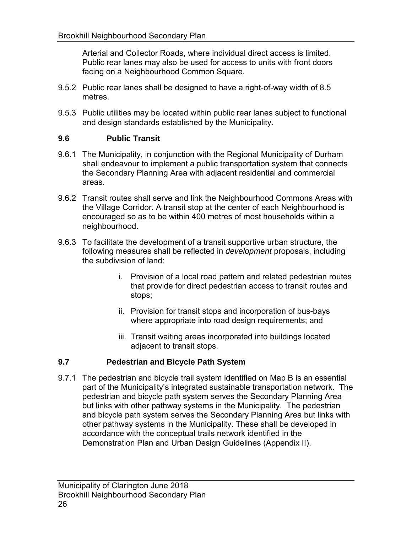Arterial and Collector Roads, where individual direct access is limited. Public rear lanes may also be used for access to units with front doors facing on a Neighbourhood Common Square.

- 9.5.2 Public rear lanes shall be designed to have a right-of-way width of 8.5 metres.
- 9.5.3 Public utilities may be located within public rear lanes subject to functional and design standards established by the Municipality.

### **9.6 Public Transit**

- 9.6.1 The Municipality, in conjunction with the Regional Municipality of Durham shall endeavour to implement a public transportation system that connects the Secondary Planning Area with adjacent residential and commercial areas.
- 9.6.2 Transit routes shall serve and link the Neighbourhood Commons Areas with the Village Corridor. A transit stop at the center of each Neighbourhood is encouraged so as to be within 400 metres of most households within a neighbourhood.
- 9.6.3 To facilitate the development of a transit supportive urban structure, the following measures shall be reflected in *development* proposals, including the subdivision of land:
	- i. Provision of a local road pattern and related pedestrian routes that provide for direct pedestrian access to transit routes and stops;
	- ii. Provision for transit stops and incorporation of bus-bays where appropriate into road design requirements; and
	- iii. Transit waiting areas incorporated into buildings located adjacent to transit stops.

### **9.7 Pedestrian and Bicycle Path System**

 9.7.1 The pedestrian and bicycle trail system identified on Map B is an essential part of the Municipality's integrated sustainable transportation network. The pedestrian and bicycle path system serves the Secondary Planning Area but links with other pathway systems in the Municipality. The pedestrian and bicycle path system serves the Secondary Planning Area but links with other pathway systems in the Municipality. These shall be developed in accordance with the conceptual trails network identified in the Demonstration Plan and Urban Design Guidelines (Appendix II).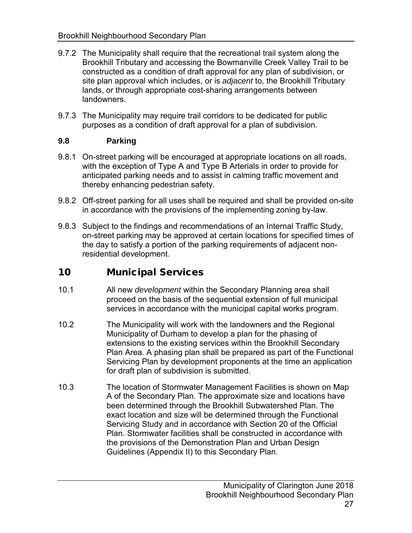- 9.7.2 The Municipality shall require that the recreational trail system along the Brookhill Tributary and accessing the Bowmanville Creek Valley Trail to be constructed as a condition of draft approval for any plan of subdivision, or site plan approval which includes, or is *adjacent* to, the Brookhill Tributary lands, or through appropriate cost-sharing arrangements between landowners.
- 9.7.3 The Municipality may require trail corridors to be dedicated for public purposes as a condition of draft approval for a plan of subdivision.

#### **9.8 Parking**

- 9.8.1 On-street parking will be encouraged at appropriate locations on all roads, with the exception of Type A and Type B Arterials in order to provide for anticipated parking needs and to assist in calming traffic movement and thereby enhancing pedestrian safety.
- 9.8.2 Off-street parking for all uses shall be required and shall be provided on-site in accordance with the provisions of the implementing zoning by-law.
- 9.8.3 Subject to the findings and recommendations of an Internal Traffic Study, on-street parking may be approved at certain locations for specified times of the day to satisfy a portion of the parking requirements of adjacent nonresidential development.

### 10 Municipal Services

- 10.1 All new *development* within the Secondary Planning area shall proceed on the basis of the sequential extension of full municipal services in accordance with the municipal capital works program.
- 10.2 The Municipality will work with the landowners and the Regional Municipality of Durham to develop a plan for the phasing of extensions to the existing services within the Brookhill Secondary Plan Area. A phasing plan shall be prepared as part of the Functional Servicing Plan by development proponents at the time an application for draft plan of subdivision is submitted.
- 10.3 The location of Stormwater Management Facilities is shown on Map A of the Secondary Plan. The approximate size and locations have been determined through the Brookhill Subwatershed Plan. The exact location and size will be determined through the Functional Servicing Study and in accordance with Section 20 of the Official Plan. Stormwater facilities shall be constructed in accordance with the provisions of the Demonstration Plan and Urban Design Guidelines (Appendix II) to this Secondary Plan.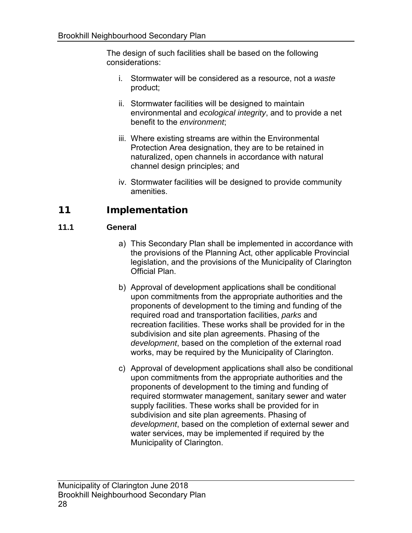The design of such facilities shall be based on the following considerations:

- i. Stormwater will be considered as a resource, not a *waste*  product;
- ii. Stormwater facilities will be designed to maintain environmental and *ecological integrity*, and to provide a net benefit to the *environment*;
- iii. Where existing streams are within the Environmental Protection Area designation, they are to be retained in naturalized, open channels in accordance with natural channel design principles; and
- iv. Stormwater facilities will be designed to provide community amenities.

## 11 Implementation

### **11.1 General**

- a) This Secondary Plan shall be implemented in accordance with the provisions of the Planning Act, other applicable Provincial legislation, and the provisions of the Municipality of Clarington Official Plan.
- b) Approval of development applications shall be conditional upon commitments from the appropriate authorities and the proponents of development to the timing and funding of the recreation facilities. These works shall be provided for in the subdivision and site plan agreements. Phasing of the *development*, based on the completion of the external road works, may be required by the Municipality of Clarington. required road and transportation facilities, *parks* and
- c) Approval of development applications shall also be conditional upon commitments from the appropriate authorities and the proponents of development to the timing and funding of required stormwater management, sanitary sewer and water supply facilities. These works shall be provided for in subdivision and site plan agreements. Phasing of *development*, based on the completion of external sewer and water services, may be implemented if required by the Municipality of Clarington.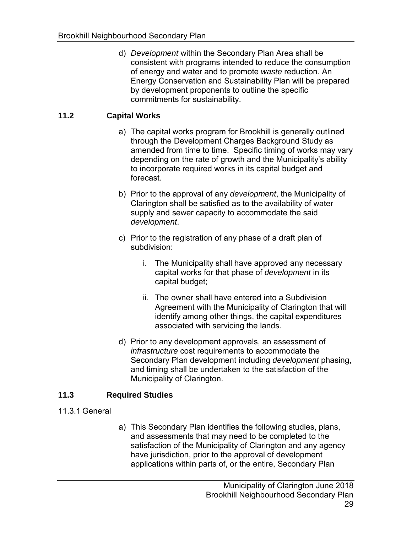of energy and water and to promote *waste* reduction. An Energy Conservation and Sustainability Plan will be prepared by development proponents to outline the specific commitments for sustainability. d) *Development* within the Secondary Plan Area shall be consistent with programs intended to reduce the consumption

#### **11.2 Capital Works**

- a) The capital works program for Brookhill is generally outlined through the Development Charges Background Study as amended from time to time. Specific timing of works may vary depending on the rate of growth and the Municipality's ability to incorporate required works in its capital budget and forecast.
- b) Prior to the approval of any *development*, the Municipality of Clarington shall be satisfied as to the availability of water supply and sewer capacity to accommodate the said *development*.
- c) Prior to the registration of any phase of a draft plan of subdivision:
	- i. The Municipality shall have approved any necessary capital works for that phase of *development* in its capital budget;
	- ii. The owner shall have entered into a Subdivision Agreement with the Municipality of Clarington that will identify among other things, the capital expenditures associated with servicing the lands.
- d) Prior to any development approvals, an assessment of *infrastructure* cost requirements to accommodate the Secondary Plan development including *development* phasing, and timing shall be undertaken to the satisfaction of the Municipality of Clarington.

#### **11.3 Required Studies**

- 11.3.1 General
- a) This Secondary Plan identifies the following studies, plans, and assessments that may need to be completed to the satisfaction of the Municipality of Clarington and any agency have jurisdiction, prior to the approval of development applications within parts of, or the entire, Secondary Plan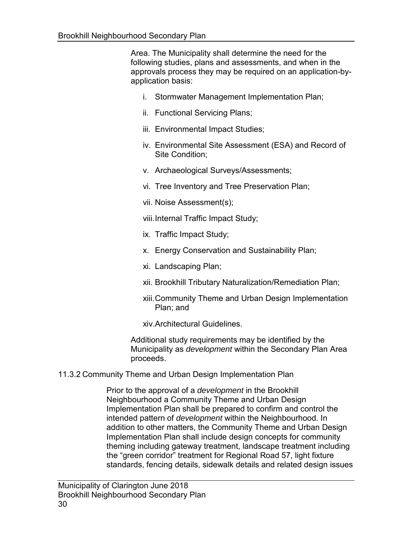Area. The Municipality shall determine the need for the following studies, plans and assessments, and when in the approvals process they may be required on an application-byapplication basis:

- i. Stormwater Management Implementation Plan;
- ii. Functional Servicing Plans;
- iii. Environmental Impact Studies;
- iv. Environmental Site Assessment (ESA) and Record of Site Condition;
- v. Archaeological Surveys/Assessments;
- vi. Tree Inventory and Tree Preservation Plan;
- vii. Noise Assessment(s);
- viii.Internal Traffic Impact Study;
- ix. Traffic Impact Study;
- x. Energy Conservation and Sustainability Plan;
- xi. Landscaping Plan;
- xii. Brookhill Tributary Naturalization/Remediation Plan;
- xiii.Community Theme and Urban Design Implementation Plan; and
- xiv.Architectural Guidelines.

 Additional study requirements may be identified by the Municipality as *development* within the Secondary Plan Area proceeds.

11.3.2 Community Theme and Urban Design Implementation Plan

 Prior to the approval of a *development* in the Brookhill Neighbourhood a Community Theme and Urban Design Implementation Plan shall be prepared to confirm and control the addition to other matters, the Community Theme and Urban Design Implementation Plan shall include design concepts for community theming including gateway treatment, landscape treatment including the "green corridor" treatment for Regional Road 57, light fixture standards, fencing details, sidewalk details and related design issues intended pattern of *development* within the Neighbourhood. In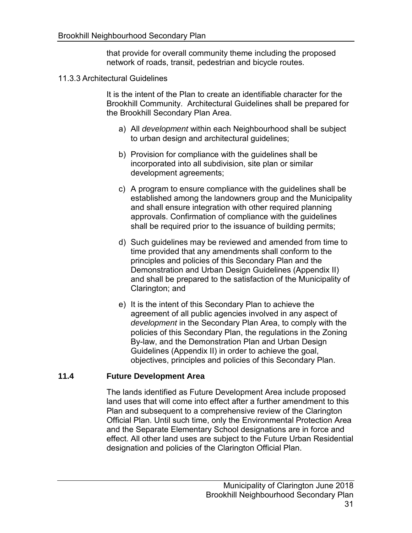that provide for overall community theme including the proposed network of roads, transit, pedestrian and bicycle routes.

11.3.3 Architectural Guidelines

 It is the intent of the Plan to create an identifiable character for the Brookhill Community. Architectural Guidelines shall be prepared for the Brookhill Secondary Plan Area.

- a) All *development* within each Neighbourhood shall be subject to urban design and architectural guidelines;
- b) Provision for compliance with the guidelines shall be incorporated into all subdivision, site plan or similar development agreements;
- c) A program to ensure compliance with the guidelines shall be established among the landowners group and the Municipality shall be required prior to the issuance of building permits; and shall ensure integration with other required planning approvals. Confirmation of compliance with the guidelines
- d) Such guidelines may be reviewed and amended from time to time provided that any amendments shall conform to the principles and policies of this Secondary Plan and the Demonstration and Urban Design Guidelines (Appendix II) and shall be prepared to the satisfaction of the Municipality of Clarington; and
- e) It is the intent of this Secondary Plan to achieve the agreement of all public agencies involved in any aspect of *development* in the Secondary Plan Area, to comply with the policies of this Secondary Plan, the regulations in the Zoning By-law, and the Demonstration Plan and Urban Design Guidelines (Appendix II) in order to achieve the goal, objectives, principles and policies of this Secondary Plan.

#### **11.4 Future Development Area**

 land uses that will come into effect after a further amendment to this Plan and subsequent to a comprehensive review of the Clarington Official Plan. Until such time, only the Environmental Protection Area and the Separate Elementary School designations are in force and effect. All other land uses are subject to the Future Urban Residential designation and policies of the Clarington Official Plan. The lands identified as Future Development Area include proposed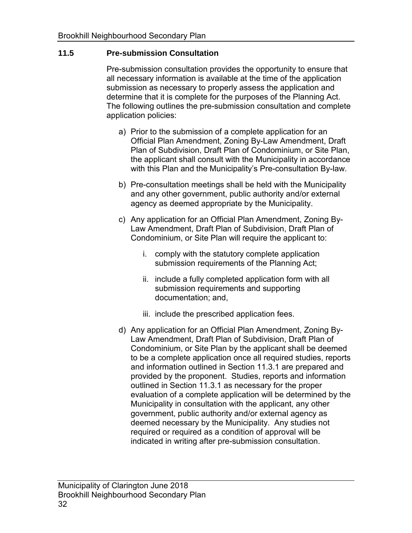#### **11.5 Pre-submission Consultation**

 Pre-submission consultation provides the opportunity to ensure that all necessary information is available at the time of the application submission as necessary to properly assess the application and determine that it is complete for the purposes of the Planning Act. The following outlines the pre-submission consultation and complete application policies:

- a) Prior to the submission of a complete application for an Official Plan Amendment, Zoning By-Law Amendment, Draft Plan of Subdivision, Draft Plan of Condominium, or Site Plan, the applicant shall consult with the Municipality in accordance with this Plan and the Municipality's Pre-consultation By-law.
- b) Pre-consultation meetings shall be held with the Municipality and any other government, public authority and/or external agency as deemed appropriate by the Municipality.
- c) Any application for an Official Plan Amendment, Zoning By- Law Amendment, Draft Plan of Subdivision, Draft Plan of Condominium, or Site Plan will require the applicant to:
	- submission requirements of the Planning Act; i. comply with the statutory complete application
	- ii. include a fully completed application form with all submission requirements and supporting documentation; and,
	- iii. include the prescribed application fees.
- d) Any application for an Official Plan Amendment, Zoning By- Law Amendment, Draft Plan of Subdivision, Draft Plan of Condominium, or Site Plan by the applicant shall be deemed to be a complete application once all required studies, reports and information outlined in Section 11.3.1 are prepared and provided by the proponent. Studies, reports and information outlined in Section 11.3.1 as necessary for the proper evaluation of a complete application will be determined by the Municipality in consultation with the applicant, any other government, public authority and/or external agency as deemed necessary by the Municipality. Any studies not required or required as a condition of approval will be indicated in writing after pre-submission consultation.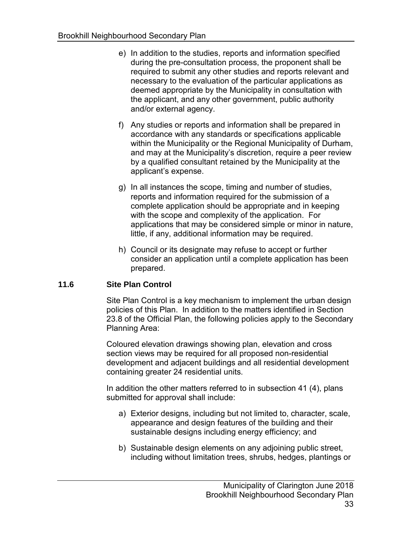- e) In addition to the studies, reports and information specified during the pre-consultation process, the proponent shall be required to submit any other studies and reports relevant and necessary to the evaluation of the particular applications as the applicant, and any other government, public authority and/or external agency. deemed appropriate by the Municipality in consultation with
- f) Any studies or reports and information shall be prepared in accordance with any standards or specifications applicable within the Municipality or the Regional Municipality of Durham, and may at the Municipality's discretion, require a peer review by a qualified consultant retained by the Municipality at the applicant's expense.
- g) In all instances the scope, timing and number of studies, reports and information required for the submission of a with the scope and complexity of the application. For applications that may be considered simple or minor in nature, little, if any, additional information may be required. complete application should be appropriate and in keeping
- h) Council or its designate may refuse to accept or further consider an application until a complete application has been prepared.

#### **11.6 Site Plan Control**

 Site Plan Control is a key mechanism to implement the urban design policies of this Plan. In addition to the matters identified in Section 23.8 of the Official Plan, the following policies apply to the Secondary Planning Area:

 Coloured elevation drawings showing plan, elevation and cross section views may be required for all proposed non-residential development and adjacent buildings and all residential development containing greater 24 residential units.

 In addition the other matters referred to in subsection 41 (4), plans submitted for approval shall include:

- a) Exterior designs, including but not limited to, character, scale, appearance and design features of the building and their sustainable designs including energy efficiency; and
- b) Sustainable design elements on any adjoining public street, including without limitation trees, shrubs, hedges, plantings or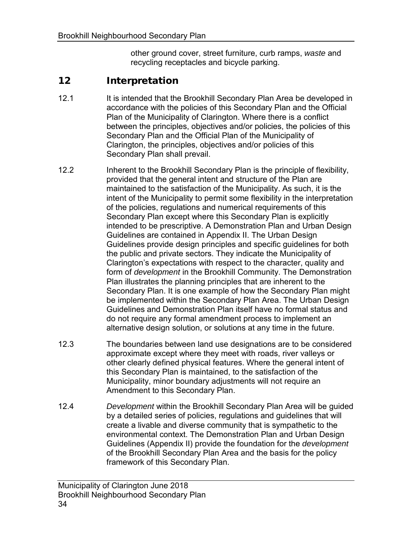other ground cover, street furniture, curb ramps, *waste* and recycling receptacles and bicycle parking.

### 12 Interpretation

- 12.1 It is intended that the Brookhill Secondary Plan Area be developed in accordance with the policies of this Secondary Plan and the Official Plan of the Municipality of Clarington. Where there is a conflict between the principles, objectives and/or policies, the policies of this Secondary Plan and the Official Plan of the Municipality of Clarington, the principles, objectives and/or policies of this Secondary Plan shall prevail.
- 12.2 Inherent to the Brookhill Secondary Plan is the principle of flexibility, provided that the general intent and structure of the Plan are maintained to the satisfaction of the Municipality. As such, it is the intent of the Municipality to permit some flexibility in the interpretation of the policies, regulations and numerical requirements of this Secondary Plan except where this Secondary Plan is explicitly intended to be prescriptive. A Demonstration Plan and Urban Design Guidelines are contained in Appendix II. The Urban Design Guidelines provide design principles and specific guidelines for both the public and private sectors. They indicate the Municipality of Clarington's expectations with respect to the character, quality and form of *development* in the Brookhill Community. The Demonstration Plan illustrates the planning principles that are inherent to the Secondary Plan. It is one example of how the Secondary Plan might be implemented within the Secondary Plan Area. The Urban Design Guidelines and Demonstration Plan itself have no formal status and do not require any formal amendment process to implement an alternative design solution, or solutions at any time in the future.
- approximate except where they meet with roads, river valleys or other clearly defined physical features. Where the general intent of this Secondary Plan is maintained, to the satisfaction of the Municipality, minor boundary adjustments will not require an Amendment to this Secondary Plan. 12.3 The boundaries between land use designations are to be considered
- 12.4 *Development* within the Brookhill Secondary Plan Area will be guided by a detailed series of policies, regulations and guidelines that will create a livable and diverse community that is sympathetic to the environmental context. The Demonstration Plan and Urban Design Guidelines (Appendix II) provide the foundation for the *development*  of the Brookhill Secondary Plan Area and the basis for the policy framework of this Secondary Plan.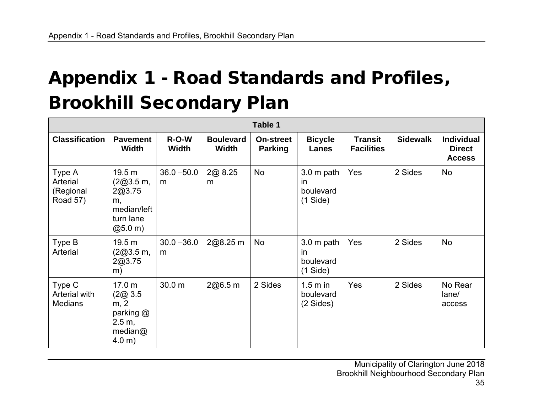# Appendix 1 - Road Standards and Profiles, Brookhill Secondary Plan

| Table 1                                     |                                                                                |                         |                                  |                                    |                                            |                                     |                 |                                                     |  |  |  |
|---------------------------------------------|--------------------------------------------------------------------------------|-------------------------|----------------------------------|------------------------------------|--------------------------------------------|-------------------------------------|-----------------|-----------------------------------------------------|--|--|--|
| <b>Classification</b>                       | <b>Pavement</b><br><b>Width</b>                                                | $R-O-W$<br><b>Width</b> | <b>Boulevard</b><br><b>Width</b> | <b>On-street</b><br><b>Parking</b> | <b>Bicycle</b><br>Lanes                    | <b>Transit</b><br><b>Facilities</b> | <b>Sidewalk</b> | <b>Individual</b><br><b>Direct</b><br><b>Access</b> |  |  |  |
| Type A<br>Arterial<br>(Regional<br>Road 57) | 19.5 m<br>(2@3.5m,<br>2@3.75<br>m,<br>median/left<br>turn lane<br>(20, 5.0, m) | $36.0 - 50.0$<br>m      | 2@ 8.25<br>m                     | <b>No</b>                          | 3.0 m path<br>in<br>boulevard<br>(1 Side)  | Yes                                 | 2 Sides         | No                                                  |  |  |  |
| Type B<br>Arterial                          | 19.5 m<br>(2@3.5m,<br>2@3.75<br>m)                                             | $30.0 - 36.0$<br>m      | 2@8.25 m                         | No                                 | $3.0m$ path<br>in<br>boulevard<br>(1 Side) | Yes                                 | 2 Sides         | No                                                  |  |  |  |
| Type C<br>Arterial with<br><b>Medians</b>   | 17.0 m<br>(2@3.5)<br>m, 2<br>parking @<br>2.5 m,<br>median@<br>4.0 m)          | 30.0 m                  | 2@6.5m                           | 2 Sides                            | 1.5 m in<br>boulevard<br>(2 Sides)         | Yes                                 | 2 Sides         | No Rear<br>lane/<br>access                          |  |  |  |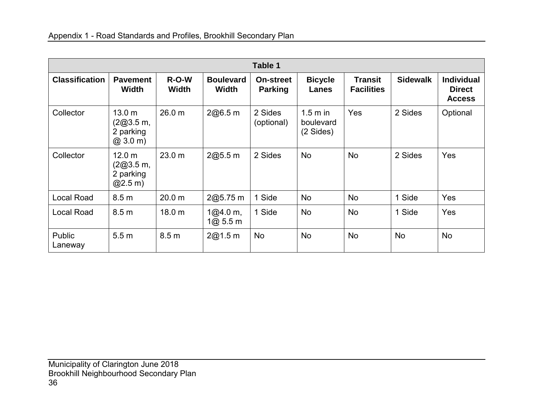| Table 1               |                                                                    |                         |                                  |                                    |                                     |                                     |                 |                                                     |  |  |  |  |
|-----------------------|--------------------------------------------------------------------|-------------------------|----------------------------------|------------------------------------|-------------------------------------|-------------------------------------|-----------------|-----------------------------------------------------|--|--|--|--|
| <b>Classification</b> | <b>Pavement</b><br><b>Width</b>                                    | $R-O-W$<br><b>Width</b> | <b>Boulevard</b><br><b>Width</b> | <b>On-street</b><br><b>Parking</b> | <b>Bicycle</b><br>Lanes             | <b>Transit</b><br><b>Facilities</b> | <b>Sidewalk</b> | <b>Individual</b><br><b>Direct</b><br><b>Access</b> |  |  |  |  |
| Collector             | 13.0 <sub>m</sub><br>(2@3.5m,<br>2 parking<br>$(2, 3.0 \text{ m})$ | 26.0 m                  | 2@6.5m                           | 2 Sides<br>(optional)              | $1.5m$ in<br>boulevard<br>(2 Sides) | Yes                                 | 2 Sides         | Optional                                            |  |  |  |  |
| Collector             | 12.0 <sub>m</sub><br>(2@3.5m,<br>2 parking<br>@2.5 m)              | 23.0 m                  | 2@5.5m                           | 2 Sides                            | <b>No</b>                           | <b>No</b>                           | 2 Sides         | Yes                                                 |  |  |  |  |
| <b>Local Road</b>     | 8.5 <sub>m</sub>                                                   | 20.0 <sub>m</sub>       | 2@5.75 m                         | 1 Side                             | <b>No</b>                           | No                                  | 1 Side          | Yes                                                 |  |  |  |  |
| <b>Local Road</b>     | 8.5 <sub>m</sub>                                                   | 18.0 m                  | 1@4.0 m,<br>1@3.5m               | 1 Side                             | <b>No</b>                           | <b>No</b>                           | 1 Side          | Yes                                                 |  |  |  |  |
| Public<br>Laneway     | 5.5 <sub>m</sub>                                                   | 8.5 <sub>m</sub>        | 2@1.5m                           | No                                 | No                                  | <b>No</b>                           | No              | No                                                  |  |  |  |  |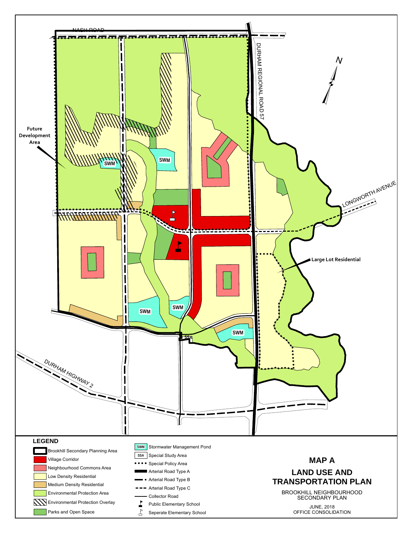